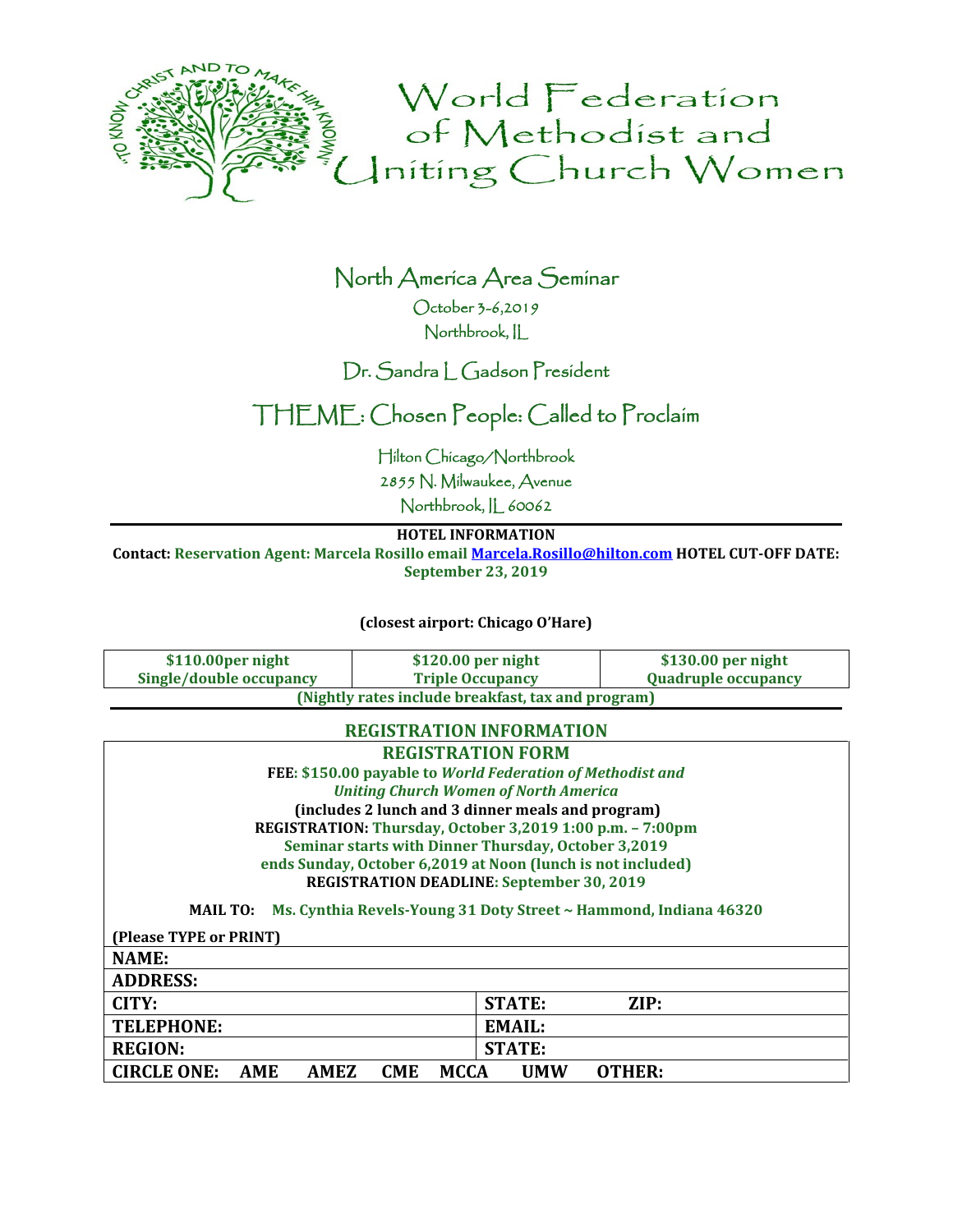

## North America Area Seminar October 3-6,2019

Northbrook, IL

### Dr. Sandra L Gadson President

## THEME: Chosen People: Called to Proclaim

Hilton Chicago/Northbrook

2855 N. Milwaukee, Avenue

Northbrook, IL 60062

#### **HOTEL INFORMATION**

**Contact: Reservation Agent: Marcela Rosillo email [Marcela.Rosillo@hilton.com](mailto:Marcela.Rosillo@hilton.com) HOTEL CUT-OFF DATE: September 23, 2019**

**(closest airport: Chicago O'Hare)**

| \$110.00per night                                  | $$120.00$ per night     | $$130.00$ per night        |  |
|----------------------------------------------------|-------------------------|----------------------------|--|
| Single/double occupancy                            | <b>Triple Occupancy</b> | <b>Quadruple occupancy</b> |  |
| (Nightly rates include breakfast, tax and program) |                         |                            |  |

#### **REGISTRATION INFORMATION**

| <b>REGISTRATION FORM</b>                                                            |                       |  |  |
|-------------------------------------------------------------------------------------|-----------------------|--|--|
| FEE: \$150.00 payable to World Federation of Methodist and                          |                       |  |  |
| <b>Uniting Church Women of North America</b>                                        |                       |  |  |
| (includes 2 lunch and 3 dinner meals and program)                                   |                       |  |  |
| REGISTRATION: Thursday, October 3,2019 1:00 p.m. - 7:00pm                           |                       |  |  |
| Seminar starts with Dinner Thursday, October 3,2019                                 |                       |  |  |
| ends Sunday, October 6,2019 at Noon (lunch is not included)                         |                       |  |  |
| <b>REGISTRATION DEADLINE: September 30, 2019</b>                                    |                       |  |  |
| Ms. Cynthia Revels-Young 31 Doty Street ~ Hammond, Indiana 46320<br><b>MAIL TO:</b> |                       |  |  |
| (Please TYPE or PRINT)                                                              |                       |  |  |
| NAME:                                                                               |                       |  |  |
| <b>ADDRESS:</b>                                                                     |                       |  |  |
| CITY:                                                                               | ZIP:<br><b>STATE:</b> |  |  |
| <b>TELEPHONE:</b>                                                                   | <b>EMAIL:</b>         |  |  |
| <b>REGION:</b>                                                                      | <b>STATE:</b>         |  |  |
| <b>CIRCLE ONE:</b><br>AME<br>AMEZ<br><b>CME</b><br><b>MCCA</b>                      | UMW<br>OTHER:         |  |  |